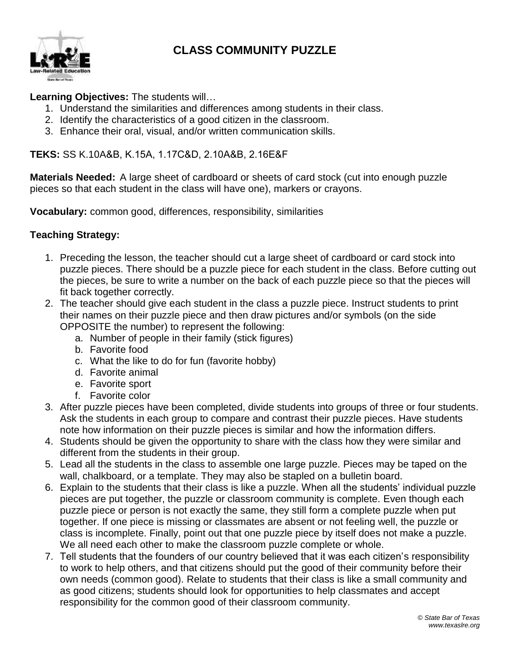



## **Learning Objectives:** The students will…

- 1. Understand the similarities and differences among students in their class.
- 2. Identify the characteristics of a good citizen in the classroom.
- 3. Enhance their oral, visual, and/or written communication skills.

**TEKS:** SS K.10A&B, K.15A, 1.17C&D, 2.10A&B, 2.16E&F

**Materials Needed:** A large sheet of cardboard or sheets of card stock (cut into enough puzzle pieces so that each student in the class will have one), markers or crayons.

**Vocabulary:** common good, differences, responsibility, similarities

## **Teaching Strategy:**

- 1. Preceding the lesson, the teacher should cut a large sheet of cardboard or card stock into puzzle pieces. There should be a puzzle piece for each student in the class. Before cutting out the pieces, be sure to write a number on the back of each puzzle piece so that the pieces will fit back together correctly.
- 2. The teacher should give each student in the class a puzzle piece. Instruct students to print their names on their puzzle piece and then draw pictures and/or symbols (on the side OPPOSITE the number) to represent the following:
	- a. Number of people in their family (stick figures)
	- b. Favorite food
	- c. What the like to do for fun (favorite hobby)
	- d. Favorite animal
	- e. Favorite sport
	- f. Favorite color
- 3. After puzzle pieces have been completed, divide students into groups of three or four students. Ask the students in each group to compare and contrast their puzzle pieces. Have students note how information on their puzzle pieces is similar and how the information differs.
- 4. Students should be given the opportunity to share with the class how they were similar and different from the students in their group.
- 5. Lead all the students in the class to assemble one large puzzle. Pieces may be taped on the wall, chalkboard, or a template. They may also be stapled on a bulletin board.
- 6. Explain to the students that their class is like a puzzle. When all the students' individual puzzle pieces are put together, the puzzle or classroom community is complete. Even though each puzzle piece or person is not exactly the same, they still form a complete puzzle when put together. If one piece is missing or classmates are absent or not feeling well, the puzzle or class is incomplete. Finally, point out that one puzzle piece by itself does not make a puzzle. We all need each other to make the classroom puzzle complete or whole.
- 7. Tell students that the founders of our country believed that it was each citizen's responsibility to work to help others, and that citizens should put the good of their community before their own needs (common good). Relate to students that their class is like a small community and as good citizens; students should look for opportunities to help classmates and accept responsibility for the common good of their classroom community.